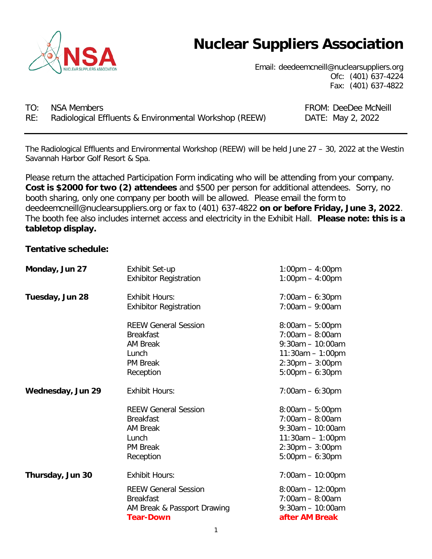

# **Nuclear Suppliers Association**

Email: deedeemcneill@nuclearsuppliers.org Ofc: (401) 637-4224 Fax: (401) 637-4822

TO: NSA Members **FROM: DeeDee McNeill** RE: Radiological Effluents & Environmental Workshop (REEW) DATE: May 2, 2022

The Radiological Effluents and Environmental Workshop (REEW) will be held June 27 – 30, 2022 at the Westin Savannah Harbor Golf Resort & Spa.

Please return the attached Participation Form indicating who will be attending from your company. **Cost is \$2000 for two (2) attendees** and \$500 per person for additional attendees. Sorry, no booth sharing, only one company per booth will be allowed. Please email the form to deedeemcneill@nuclearsuppliers.org or fax to (401) 637-4822 **on or before Friday, June 3, 2022**. The booth fee also includes internet access and electricity in the Exhibit Hall. **Please note: this is a tabletop display.**

#### **Tentative schedule:**

| Monday, Jun 27    | Exhibit Set-up<br><b>Exhibitor Registration</b>                                                             | $1:00 \text{pm} - 4:00 \text{pm}$<br>$1:00 \text{pm} - 4:00 \text{pm}$                                                                                        |
|-------------------|-------------------------------------------------------------------------------------------------------------|---------------------------------------------------------------------------------------------------------------------------------------------------------------|
| Tuesday, Jun 28   | <b>Exhibit Hours:</b><br><b>Exhibitor Registration</b>                                                      | $7:00am - 6:30pm$<br>$7:00am - 9:00am$                                                                                                                        |
|                   | <b>REEW General Session</b><br><b>Breakfast</b><br><b>AM Break</b><br>Lunch<br><b>PM Break</b><br>Reception | $8:00am - 5:00pm$<br>$7:00am - 8:00am$<br>$9:30$ am - 10:00am<br>$11:30am - 1:00pm$<br>$2:30 \text{pm} - 3:00 \text{pm}$<br>$5:00 \text{pm} - 6:30 \text{pm}$ |
| Wednesday, Jun 29 | <b>Exhibit Hours:</b>                                                                                       | $7:00am - 6:30pm$                                                                                                                                             |
|                   | <b>REEW General Session</b><br><b>Breakfast</b><br><b>AM Break</b><br>Lunch<br><b>PM Break</b><br>Reception | $8:00am - 5:00pm$<br>$7:00am - 8:00am$<br>$9:30am - 10:00am$<br>$11:30am - 1:00pm$<br>$2:30 \text{pm} - 3:00 \text{pm}$<br>$5:00 \text{pm} - 6:30 \text{pm}$  |
| Thursday, Jun 30  | <b>Exhibit Hours:</b>                                                                                       | $7:00am - 10:00pm$                                                                                                                                            |
|                   | <b>REEW General Session</b><br><b>Breakfast</b><br>AM Break & Passport Drawing<br><b>Tear-Down</b>          | $8:00am - 12:00pm$<br>$7:00am - 8:00am$<br>$9:30$ am $-10:00$ am<br>after AM Break                                                                            |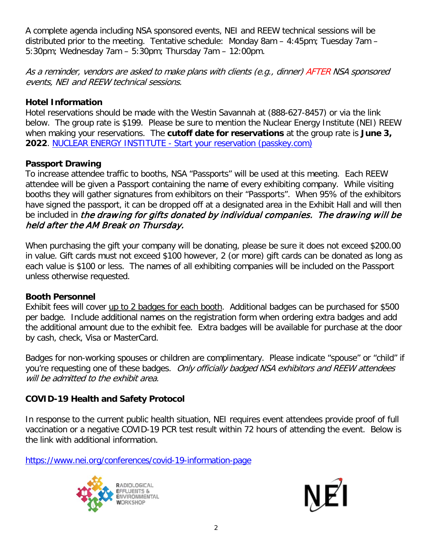A complete agenda including NSA sponsored events, NEI and REEW technical sessions will be distributed prior to the meeting. Tentative schedule: Monday 8am – 4:45pm; Tuesday 7am – 5:30pm; Wednesday 7am – 5:30pm; Thursday 7am – 12:00pm.

As a reminder, vendors are asked to make plans with clients (e.g., dinner) AFTER NSA sponsored events, NEI and REEW technical sessions.

### **Hotel Information**

Hotel reservations should be made with the Westin Savannah at (888-627-8457) or via the link below. The group rate is \$199. Please be sure to mention the Nuclear Energy Institute (NEI) REEW when making your reservations. The **cutoff date for reservations** at the group rate is **June 3, 2022**. NUCLEAR ENERGY INSTITUTE - [Start your reservation \(passkey.com\)](https://book.passkey.com/event/50317872/owner/3958/home)

### **Passport Drawing**

To increase attendee traffic to booths, NSA "Passports" will be used at this meeting. Each REEW attendee will be given a Passport containing the name of every exhibiting company. While visiting booths they will gather signatures from exhibitors on their "Passports". When 95% of the exhibitors have signed the passport, it can be dropped off at a designated area in the Exhibit Hall and will then be included in the drawing for gifts donated by individual companies. The drawing will be held after the AM Break on Thursday.

When purchasing the gift your company will be donating, please be sure it does not exceed \$200.00 in value. Gift cards must not exceed \$100 however, 2 (or more) gift cards can be donated as long as each value is \$100 or less. The names of all exhibiting companies will be included on the Passport unless otherwise requested.

#### **Booth Personnel**

Exhibit fees will cover up to 2 badges for each booth. Additional badges can be purchased for \$500 per badge. Include additional names on the registration form when ordering extra badges and add the additional amount due to the exhibit fee. Extra badges will be available for purchase at the door by cash, check, Visa or MasterCard.

Badges for non-working spouses or children are complimentary. Please indicate "spouse" or "child" if you're requesting one of these badges. Only officially badged NSA exhibitors and REEW attendees will be admitted to the exhibit area.

## **COVID-19 Health and Safety Protocol**

In response to the current public health situation, NEI requires event attendees provide proof of full vaccination or a negative COVID-19 PCR test result within 72 hours of attending the event. Below is the link with additional information.

<https://www.nei.org/conferences/covid-19-information-page>